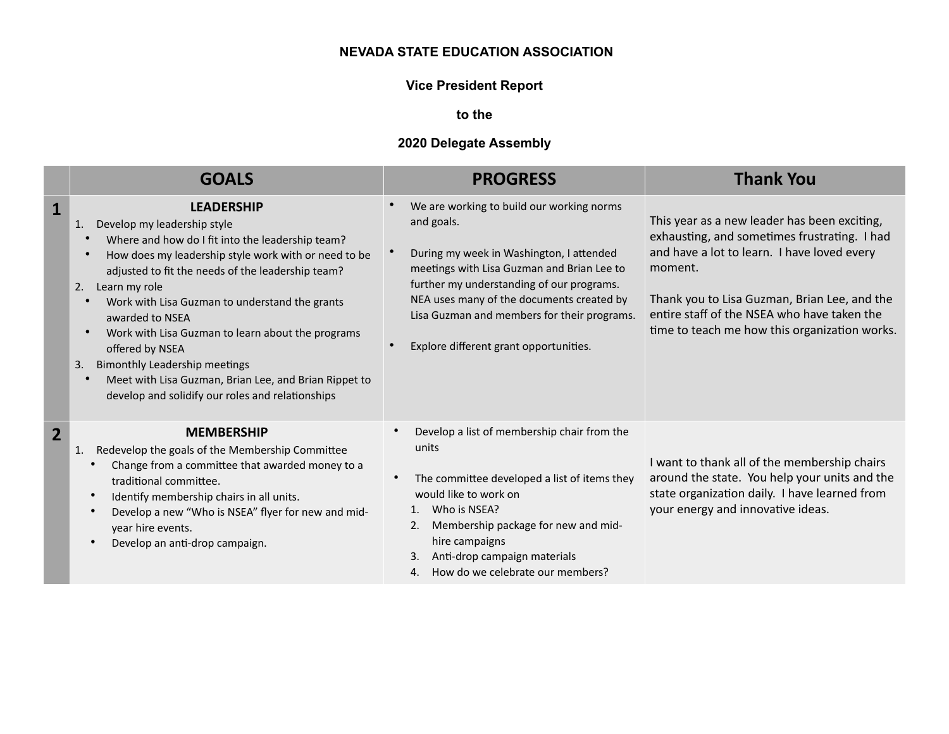#### **NEVADA STATE EDUCATION ASSOCIATION**

# **Vice President Report**

**to the** 

# **2020 Delegate Assembly**

|                | <b>GOALS</b>                                                                                                                                                                                                                                                                                                                                                                                                                                                                                                                                                                                                            | <b>PROGRESS</b>                                                                                                                                                                                                                                                                                                                      | <b>Thank You</b>                                                                                                                                                                                                                                                                                       |
|----------------|-------------------------------------------------------------------------------------------------------------------------------------------------------------------------------------------------------------------------------------------------------------------------------------------------------------------------------------------------------------------------------------------------------------------------------------------------------------------------------------------------------------------------------------------------------------------------------------------------------------------------|--------------------------------------------------------------------------------------------------------------------------------------------------------------------------------------------------------------------------------------------------------------------------------------------------------------------------------------|--------------------------------------------------------------------------------------------------------------------------------------------------------------------------------------------------------------------------------------------------------------------------------------------------------|
| 1              | <b>LEADERSHIP</b><br>Develop my leadership style<br>1.<br>Where and how do I fit into the leadership team?<br>$\bullet$<br>How does my leadership style work with or need to be<br>$\bullet$<br>adjusted to fit the needs of the leadership team?<br>2.<br>Learn my role<br>Work with Lisa Guzman to understand the grants<br>$\bullet$<br>awarded to NSEA<br>Work with Lisa Guzman to learn about the programs<br>$\bullet$<br>offered by NSEA<br><b>Bimonthly Leadership meetings</b><br>3.<br>Meet with Lisa Guzman, Brian Lee, and Brian Rippet to<br>$\bullet$<br>develop and solidify our roles and relationships | We are working to build our working norms<br>and goals.<br>During my week in Washington, I attended<br>meetings with Lisa Guzman and Brian Lee to<br>further my understanding of our programs.<br>NEA uses many of the documents created by<br>Lisa Guzman and members for their programs.<br>Explore different grant opportunities. | This year as a new leader has been exciting,<br>exhausting, and sometimes frustrating. I had<br>and have a lot to learn. I have loved every<br>moment.<br>Thank you to Lisa Guzman, Brian Lee, and the<br>entire staff of the NSEA who have taken the<br>time to teach me how this organization works. |
| $\overline{2}$ | <b>MEMBERSHIP</b><br>Redevelop the goals of the Membership Committee<br>1.<br>Change from a committee that awarded money to a<br>traditional committee.<br>Identify membership chairs in all units.<br>Develop a new "Who is NSEA" flyer for new and mid-<br>year hire events.<br>Develop an anti-drop campaign.                                                                                                                                                                                                                                                                                                        | Develop a list of membership chair from the<br>units<br>The committee developed a list of items they<br>would like to work on<br>Who is NSEA?<br>1.<br>Membership package for new and mid-<br>2.<br>hire campaigns<br>Anti-drop campaign materials<br>3.<br>How do we celebrate our members?<br>4.                                   | I want to thank all of the membership chairs<br>around the state. You help your units and the<br>state organization daily. I have learned from<br>your energy and innovative ideas.                                                                                                                    |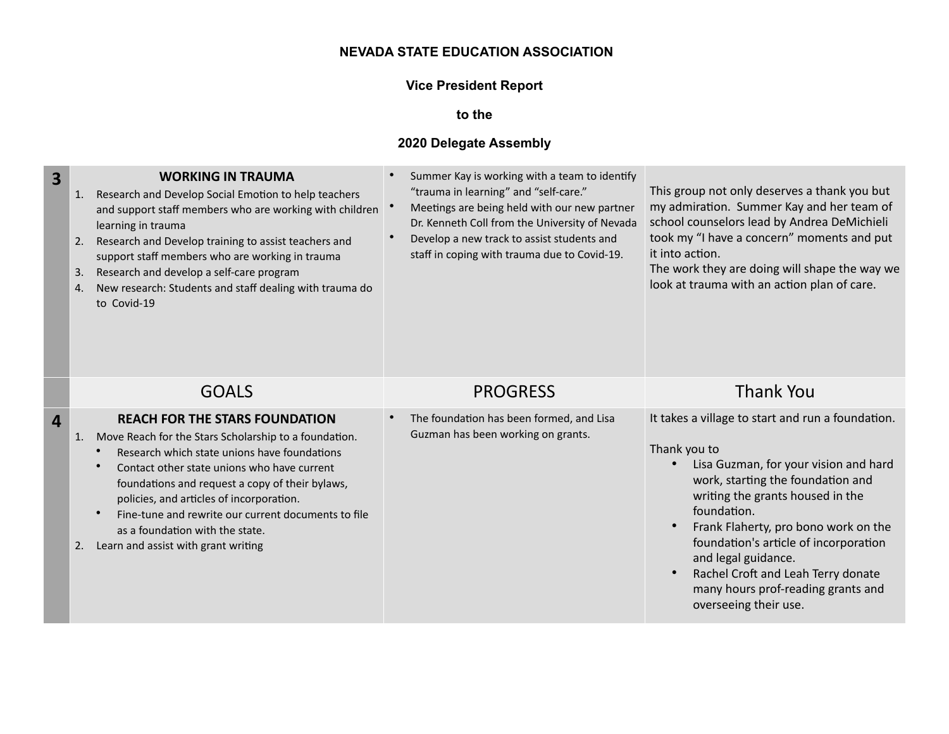## **NEVADA STATE EDUCATION ASSOCIATION**

# **Vice President Report**

**to the** 

#### **2020 Delegate Assembly**

| 3                | <b>WORKING IN TRAUMA</b><br>Research and Develop Social Emotion to help teachers<br>1.<br>and support staff members who are working with children<br>learning in trauma<br>Research and Develop training to assist teachers and<br>2.<br>support staff members who are working in trauma<br>Research and develop a self-care program<br>3.<br>New research: Students and staff dealing with trauma do<br>4.<br>to Covid-19                | Summer Kay is working with a team to identify<br>"trauma in learning" and "self-care."<br>Meetings are being held with our new partner<br>Dr. Kenneth Coll from the University of Nevada<br>Develop a new track to assist students and<br>staff in coping with trauma due to Covid-19. | This group not only deserves a thank you but<br>my admiration. Summer Kay and her team of<br>school counselors lead by Andrea DeMichieli<br>took my "I have a concern" moments and put<br>it into action.<br>The work they are doing will shape the way we<br>look at trauma with an action plan of care.                                                                                                                                 |
|------------------|-------------------------------------------------------------------------------------------------------------------------------------------------------------------------------------------------------------------------------------------------------------------------------------------------------------------------------------------------------------------------------------------------------------------------------------------|----------------------------------------------------------------------------------------------------------------------------------------------------------------------------------------------------------------------------------------------------------------------------------------|-------------------------------------------------------------------------------------------------------------------------------------------------------------------------------------------------------------------------------------------------------------------------------------------------------------------------------------------------------------------------------------------------------------------------------------------|
|                  | <b>GOALS</b>                                                                                                                                                                                                                                                                                                                                                                                                                              | <b>PROGRESS</b>                                                                                                                                                                                                                                                                        | <b>Thank You</b>                                                                                                                                                                                                                                                                                                                                                                                                                          |
| $\boldsymbol{4}$ | <b>REACH FOR THE STARS FOUNDATION</b><br>Move Reach for the Stars Scholarship to a foundation.<br>1.<br>Research which state unions have foundations<br>Contact other state unions who have current<br>foundations and request a copy of their bylaws,<br>policies, and articles of incorporation.<br>Fine-tune and rewrite our current documents to file<br>as a foundation with the state.<br>Learn and assist with grant writing<br>2. | The foundation has been formed, and Lisa<br>Guzman has been working on grants.                                                                                                                                                                                                         | It takes a village to start and run a foundation.<br>Thank you to<br>Lisa Guzman, for your vision and hard<br>work, starting the foundation and<br>writing the grants housed in the<br>foundation.<br>Frank Flaherty, pro bono work on the<br>$\bullet$<br>foundation's article of incorporation<br>and legal guidance.<br>Rachel Croft and Leah Terry donate<br>$\bullet$<br>many hours prof-reading grants and<br>overseeing their use. |